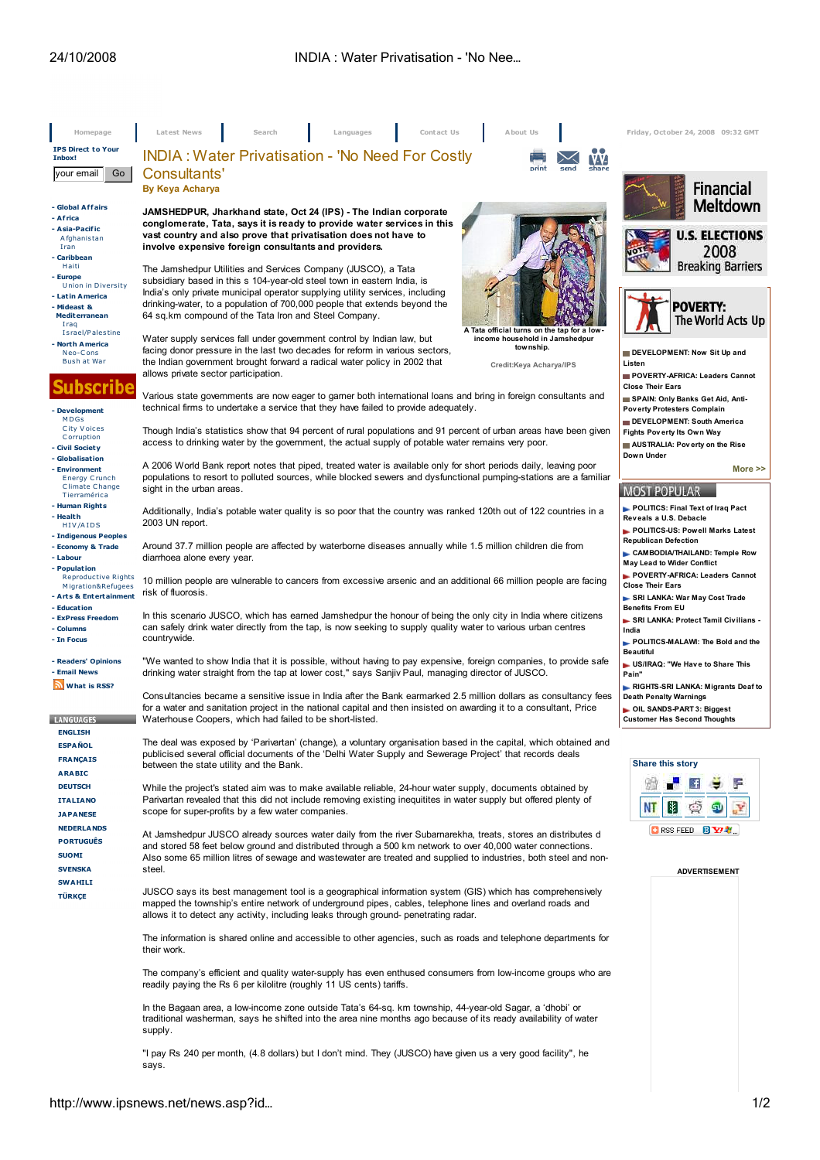